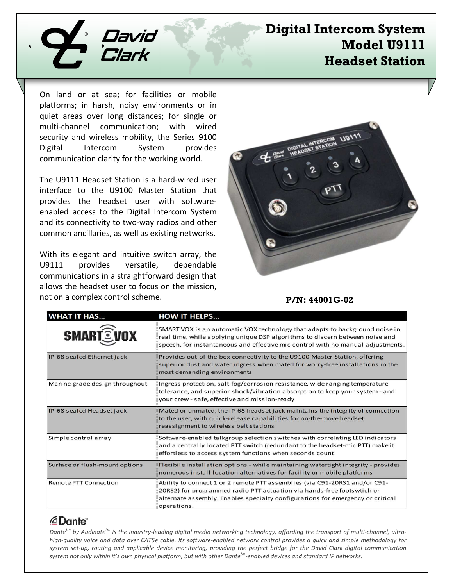

# **Digital Intercom System Model U9111 Headset Station**

On land or at sea; for facilities or mobile platforms; in harsh, noisy environments or in quiet areas over long distances; for single or multi-channel communication; with wired security and wireless mobility, the Series 9100 Digital Intercom System provides communication clarity for the working world.

The U9111 Headset Station is a hard-wired user interface to the U9100 Master Station that provides the headset user with softwareenabled access to the Digital Intercom System and its connectivity to two-way radios and other common ancillaries, as well as existing networks.

With its elegant and intuitive switch array, the U9111 provides versatile, dependable communications in a straightforward design that allows the headset user to focus on the mission, not on a complex control scheme.



### **P/N: 44001G-02**

| <b>WHAT IT HAS</b>             | <b>HOW IT HELPS</b>                                                                                                                                                                                                                                    |
|--------------------------------|--------------------------------------------------------------------------------------------------------------------------------------------------------------------------------------------------------------------------------------------------------|
| <b>SMARTEVOX</b>               | SMART VOX is an automatic VOX technology that adapts to background noise in<br>real time, while applying unique DSP algorithms to discern between noise and<br>speech, for instantaneous and effective mic control with no manual adjustments.         |
| IP-68 sealed Ethernet jack     | <b>I</b> Provides out-of-the-box connectivity to the U9100 Master Station, offering<br>superior dust and water ingress when mated for worry-free installations in the<br>most demanding environments                                                   |
| Marine-grade design throughout | Ingress protection, salt-fog/corrosion resistance, wide ranging temperature<br>tolerance, and superior shock/vibration absorption to keep your system - and<br>I your crew - safe, effective and mission-ready                                         |
| IP-68 sealed Headset jack      | I Mated or unmated, the IP-68 headset jack maintains the integrity of connection<br>to the user, with quick-release capabilities for on-the-move headset<br>reassignment to wireless belt stations                                                     |
| Simple control array           | Software-enabled talkgroup selection switches with correlating LED indicators<br>and a centrally located PTT switch (redundant to the headset-mic PTT) make it<br>effortless to access system functions when seconds count                             |
| Surface or flush-mount options | I Flexibile installation options - while maintaining watertight integrity - provides<br>numerous install location alternatives for facility or mobile platforms                                                                                        |
| <b>Remote PTT Connection</b>   | Ability to connect 1 or 2 remote PTT assemblies (via C91-20RS1 and/or C91-<br>20RS2) for programmed radio PTT actuation via hands-free foots wtich or<br>alternate assembly. Enables specialty configurations for emergency or critical<br>operations. |

### *<u>ADante</u>*

*Dantetm by Audinatetm is the industry-leading digital media networking technology, affording the transport of multi-channel, ultrahigh-quality voice and data over CAT5e cable. Its software-enabled network control provides a quick and simple methodology for system set-up, routing and applicable device monitoring, providing the perfect bridge for the David Clark digital communication system not only within it's own physical platform, but with other Dantetm-enabled devices and standard IP networks.*